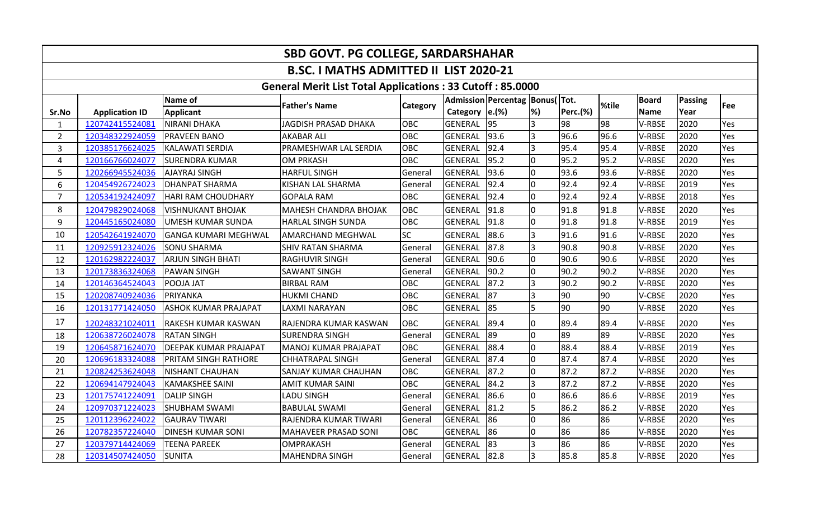| SBD GOVT. PG COLLEGE, SARDARSHAHAR            |                                                                  |                             |                              |            |                |                                       |                          |                 |       |               |                |     |  |  |
|-----------------------------------------------|------------------------------------------------------------------|-----------------------------|------------------------------|------------|----------------|---------------------------------------|--------------------------|-----------------|-------|---------------|----------------|-----|--|--|
| <b>B.SC. I MATHS ADMITTED II LIST 2020-21</b> |                                                                  |                             |                              |            |                |                                       |                          |                 |       |               |                |     |  |  |
|                                               | <b>General Merit List Total Applications: 33 Cutoff: 85.0000</b> |                             |                              |            |                |                                       |                          |                 |       |               |                |     |  |  |
|                                               |                                                                  | Name of                     | <b>Father's Name</b>         | Category   |                | Admission   Percentag   Bonus(   Tot. |                          |                 | %tile | <b>Board</b>  | <b>Passing</b> | Fee |  |  |
| Sr.No                                         | <b>Application ID</b>                                            | <b>Applicant</b>            |                              |            | Category       | e.(%)                                 | $\left  \%\right\rangle$ | <b>Perc.(%)</b> |       | <b>Name</b>   | Year           |     |  |  |
| $\mathbf{1}$                                  | 120742415524081                                                  | NIRANI DHAKA                | <b>JAGDISH PRASAD DHAKA</b>  | <b>OBC</b> | GENERAL        | $\overline{95}$                       | l3                       | 98              | 98    | V-RBSE        | 2020           | Yes |  |  |
| $\overline{2}$                                | 120348322924059                                                  | <b>PRAVEEN BANO</b>         | <b>AKABAR ALI</b>            | OBC        | <b>GENERAL</b> | 93.6                                  | l3                       | 96.6            | 96.6  | V-RBSE        | 2020           | Yes |  |  |
| 3                                             | 120385176624025                                                  | <b>KALAWATI SERDIA</b>      | PRAMESHWAR LAL SERDIA        | OBC        | <b>GENERAL</b> | 92.4                                  | l3                       | 95.4            | 95.4  | V-RBSE        | 2020           | Yes |  |  |
| 4                                             | 120166766024077                                                  | <b>SURENDRA KUMAR</b>       | <b>OM PRKASH</b>             | <b>OBC</b> | <b>GENERAL</b> | 95.2                                  | l0                       | 95.2            | 95.2  | V-RBSE        | 2020           | Yes |  |  |
| 5                                             | 120266945524036                                                  | <b>AJAYRAJ SINGH</b>        | <b>HARFUL SINGH</b>          | General    | <b>GENERAL</b> | 93.6                                  | l0                       | 93.6            | 93.6  | V-RBSE        | 2020           | Yes |  |  |
| 6                                             | 120454926724023                                                  | <b>DHANPAT SHARMA</b>       | KISHAN LAL SHARMA            | General    | <b>GENERAL</b> | 92.4                                  | 10                       | 92.4            | 92.4  | V-RBSE        | 2019           | Yes |  |  |
| $\overline{7}$                                | 120534192424097                                                  | <b>HARI RAM CHOUDHARY</b>   | <b>GOPALA RAM</b>            | OBC        | <b>GENERAL</b> | 92.4                                  | 10                       | 92.4            | 92.4  | V-RBSE        | 2018           | Yes |  |  |
| 8                                             | 120479829024068                                                  | <b>VISHNUKANT BHOJAK</b>    | <b>MAHESH CHANDRA BHOJAK</b> | OBC        | <b>GENERAL</b> | 91.8                                  | l0                       | 91.8            | 91.8  | V-RBSE        | 2020           | Yes |  |  |
| 9                                             | 120445165024080                                                  | <b>UMESH KUMAR SUNDA</b>    | <b>HARLAL SINGH SUNDA</b>    | OBC        | <b>GENERAL</b> | 91.8                                  | 10                       | 91.8            | 91.8  | <b>V-RBSE</b> | 2019           | Yes |  |  |
| 10                                            | 120542641924070                                                  | <b>GANGA KUMARI MEGHWAL</b> | <b>AMARCHAND MEGHWAL</b>     | <b>SC</b>  | <b>GENERAL</b> | 88.6                                  |                          | 91.6            | 91.6  | V-RBSE        | 2020           | Yes |  |  |
| 11                                            | 120925912324026                                                  | <b>SONU SHARMA</b>          | SHIV RATAN SHARMA            | General    | <b>GENERAL</b> | 87.8                                  | l3                       | 90.8            | 90.8  | <b>V-RBSE</b> | 2020           | Yes |  |  |
| 12                                            | 120162982224037                                                  | <b>ARJUN SINGH BHATI</b>    | <b>RAGHUVIR SINGH</b>        | General    | <b>GENERAL</b> | 90.6                                  | l0                       | 90.6            | 90.6  | V-RBSE        | 2020           | Yes |  |  |
| 13                                            | 120173836324068                                                  | <b>PAWAN SINGH</b>          | <b>SAWANT SINGH</b>          | General    | <b>GENERAL</b> | 90.2                                  | l0                       | 90.2            | 90.2  | V-RBSE        | 2020           | Yes |  |  |
| 14                                            | 120146364524043                                                  | POOJA JAT                   | <b>BIRBAL RAM</b>            | <b>OBC</b> | <b>GENERAL</b> | 87.2                                  | l3                       | 90.2            | 90.2  | V-RBSE        | 2020           | Yes |  |  |
| 15                                            | 120208740924036                                                  | PRIYANKA                    | <b>HUKMI CHAND</b>           | <b>OBC</b> | GENERAL        | 87                                    | Iз                       | 90              | 90    | V-CBSE        | 2020           | Yes |  |  |
| 16                                            | 120131771424050                                                  | <b>ASHOK KUMAR PRAJAPAT</b> | LAXMI NARAYAN                | <b>OBC</b> | GENERAL        | 85                                    | $\overline{5}$           | 90              | 90    | V-RBSE        | 2020           | Yes |  |  |
| 17                                            | 120248321024011                                                  | RAKESH KUMAR KASWAN         | RAJENDRA KUMAR KASWAN        | OBC        | GENERAL        | 89.4                                  | 10                       | 89.4            | 89.4  | V-RBSE        | 2020           | Yes |  |  |
| 18                                            | 120638726024078                                                  | <b>RATAN SINGH</b>          | <b>SURENDRA SINGH</b>        | General    | <b>GENERAL</b> | 89                                    | l0                       | 89              | 89    | V-RBSE        | 2020           | Yes |  |  |
| 19                                            | 120645871624070                                                  | DEEPAK KUMAR PRAJAPAT       | MANOJ KUMAR PRAJAPAT         | OBC        | <b>GENERAL</b> | 88.4                                  | I0                       | 88.4            | 88.4  | <b>V-RBSE</b> | 2019           | Yes |  |  |
| 20                                            | 120696183324088                                                  | PRITAM SINGH RATHORE        | <b>CHHATRAPAL SINGH</b>      | General    | <b>GENERAL</b> | 87.4                                  | 10                       | 87.4            | 87.4  | V-RBSE        | 2020           | Yes |  |  |
| 21                                            | 120824253624048                                                  | <b>NISHANT CHAUHAN</b>      | SANJAY KUMAR CHAUHAN         | OBC        | <b>GENERAL</b> | 87.2                                  | l0                       | 87.2            | 87.2  | V-RBSE        | 2020           | Yes |  |  |
| 22                                            | 120694147924043                                                  | <b>KAMAKSHEE SAINI</b>      | <b>AMIT KUMAR SAINI</b>      | <b>OBC</b> | <b>GENERAL</b> | 84.2                                  | Iз                       | 87.2            | 87.2  | V-RBSE        | 2020           | Yes |  |  |
| 23                                            | 120175741224091                                                  | <b>DALIP SINGH</b>          | <b>LADU SINGH</b>            | General    | GENERAL        | 86.6                                  | 0                        | 86.6            | 86.6  | V-RBSE        | 2019           | Yes |  |  |
| 24                                            | 120970371224023                                                  | <b>SHUBHAM SWAMI</b>        | <b>BABULAL SWAMI</b>         | General    | <b>GENERAL</b> | 81.2                                  | l5                       | 86.2            | 86.2  | V-RBSE        | 2020           | Yes |  |  |
| 25                                            | 120112396224022                                                  | <b>GAURAV TIWARI</b>        | RAJENDRA KUMAR TIWARI        | General    | <b>GENERAL</b> | 86                                    | l0                       | 86              | 86    | V-RBSE        | 2020           | Yes |  |  |
| 26                                            | 120782357224040                                                  | <b>DINESH KUMAR SONI</b>    | <b>MAHAVEER PRASAD SONI</b>  | OBC        | GENERAL        | 86                                    | l0                       | 86              | 86    | V-RBSE        | 2020           | Yes |  |  |
| 27                                            | 120379714424069                                                  | <b>TEENA PAREEK</b>         | OMPRAKASH                    | General    | <b>GENERAL</b> | 83                                    | Iз                       | 86              | 86    | V-RBSE        | 2020           | Yes |  |  |
| 28                                            | 120314507424050                                                  | <b>SUNITA</b>               | <b>MAHENDRA SINGH</b>        | General    | GENERAL        | 82.8                                  | $\overline{3}$           | 85.8            | 85.8  | V-RBSE        | 2020           | Yes |  |  |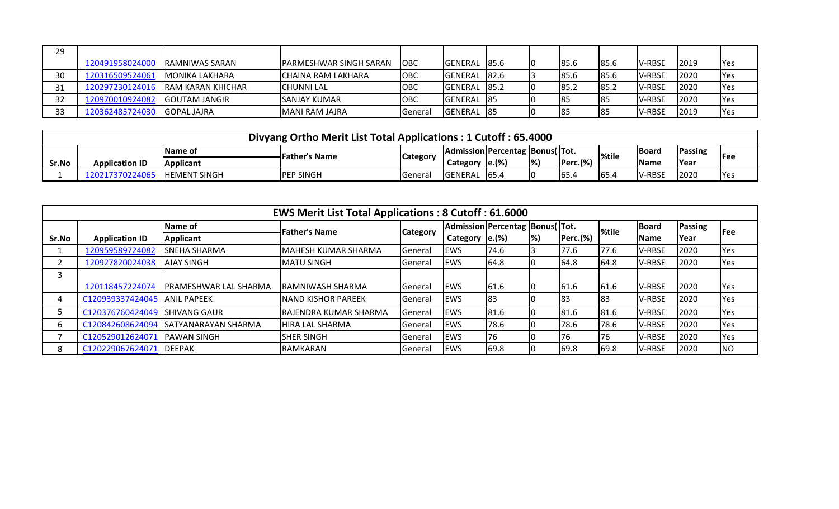| 29 |                 |                    |                         |            |                |             |           |      |               |      |              |
|----|-----------------|--------------------|-------------------------|------------|----------------|-------------|-----------|------|---------------|------|--------------|
|    | 120491958024000 | IRAMNIWAS SARAN    | IPARMESHWAR SINGH SARAN | <b>OBC</b> | IGENERAL       | <b>85.6</b> | 185.6     | 85.6 | V-RBSE        | 2019 | <b>P</b> Yes |
| 30 | 120316509524061 | IMONIKA LAKHARA    | ICHAINA RAM LAKHARA     | <b>OBC</b> | <b>GENERAL</b> | 82.6        | 185.6     | 85.6 | <b>V-RBSE</b> | 2020 | <b>IYes</b>  |
| 31 | 120297230124016 | IRAM KARAN KHICHAR | <b>ICHUNNI LAL</b>      | <b>OBC</b> | GENERAL 85.2   |             | ے.185     | 85.2 | <b>V-RBSE</b> | 2020 | <b>IYes</b>  |
| 32 | 120970010924082 | IGOUTAM JANGIR     | <b>SANJAY KUMAR</b>     | OBC        | GENERAL 185    |             | <b>85</b> | 85   | V-RBSE        | 2020 | <b>P</b> es  |
| 33 | 120362485724030 | IGOPAL JAJRA       | IMANI RAM JAJRA         | l General  | GENERAL 185    |             | <b>85</b> | 85   | V-RBSE        | 2019 | <b>Yes</b>   |

|       | Divyang Ortho Merit List Total Applications: 1 Cutoff: 65.4000 |                     |                       |                 |                                |                      |                           |             |       |              |             |            |
|-------|----------------------------------------------------------------|---------------------|-----------------------|-----------------|--------------------------------|----------------------|---------------------------|-------------|-------|--------------|-------------|------------|
|       |                                                                | <b>IName of</b>     | <b>IFather's Name</b> |                 | Admission Percentag Bonus(Tot. |                      |                           |             | %tile | <b>Board</b> | Passing     | <b>Fee</b> |
| Sr.No | <b>Application ID</b>                                          | <b>Applicant</b>    |                       | <b>Category</b> | Category                       | $\left e\right $ (%) | $\left  \% \right\rangle$ | $Perc.$ (%) |       | <b>Name</b>  | <b>Year</b> |            |
|       | 120217370224065                                                | <b>HEMENT SINGH</b> | <b>PEP SINGH</b>      | General         | <b>GENERAL</b>                 | 65.4                 |                           | 65.4        | 165.4 | V-RBSE       | 2020        | <b>Yes</b> |

|       | <b>EWS Merit List Total Applications: 8 Cutoff: 61.6000</b> |                        |                              |                  |                                |       |      |                 |       |             |                |            |  |
|-------|-------------------------------------------------------------|------------------------|------------------------------|------------------|--------------------------------|-------|------|-----------------|-------|-------------|----------------|------------|--|
|       |                                                             | Name of                | <b>Father's Name</b>         | <b>Category</b>  | Admission Percentag Bonus(Tot. |       |      |                 | %tile | Board       | <b>Passing</b> | <b>Fee</b> |  |
| Sr.No | <b>Application ID</b>                                       | Applicant              |                              |                  | Category                       | e.(%) | $\%$ | <b>Perc.(%)</b> |       | <b>Name</b> | Year           |            |  |
|       | 120959589724082                                             | <b>SNEHA SHARMA</b>    | <b>MAHESH KUMAR SHARMA</b>   | General          | <b>IEWS</b>                    | 74.6  |      | 77.6            | 77.6  | V-RBSE      | 2020           | Yes        |  |
|       | 120927820024038                                             | <b>AJAY SINGH</b>      | <b>MATU SINGH</b>            | <b>General</b>   | <b>IEWS</b>                    | 64.8  |      | 64.8            | 64.8  | V-RBSE      | 2020           | Yes        |  |
| 3     |                                                             |                        |                              |                  |                                |       |      |                 |       |             |                |            |  |
|       | 120118457224074                                             | IPRAMESHWAR LAL SHARMA | IRAMNIWASH SHARMA            | l General        | <b>IEWS</b>                    | 61.6  |      | 61.6            | 61.6  | V-RBSE      | 2020           | Yes        |  |
|       | C120939337424045                                            | <b>JANIL PAPEEK</b>    | <b>NAND KISHOR PAREEK</b>    | l General        | <b>IEWS</b>                    | 83    |      | 83              | 183   | V-RBSE      | 2020           | Yes        |  |
|       | C120376760424049                                            | <b>ISHIVANG GAUR</b>   | <b>RAJENDRA KUMAR SHARMA</b> | <b>I</b> General | <b>IEWS</b>                    | 81.6  |      | 81.6            | 81.6  | V-RBSE      | 2020           | Yes        |  |
| h     | C120842608624094                                            | ISATYANARAYAN SHARMA   | <b>HIRA LAL SHARMA</b>       | <b>General</b>   | <b>IEWS</b>                    | 78.6  |      | 78.6            | 78.6  | V-RBSE      | 2020           | Yes        |  |
|       | C120529012624071                                            | <b>IPAWAN SINGH</b>    | <b>ISHER SINGH</b>           | <b>General</b>   | <b>IEWS</b>                    | 76    |      | 176             | 76    | V-RBSE      | 2020           | Yes        |  |
| 8     | C120229067624071                                            | <b>IDEEPAK</b>         | <b>RAMKARAN</b>              | General          | <b>IEWS</b>                    | 69.8  |      | 69.8            | 69.8  | V-RBSE      | 2020           | <b>NO</b>  |  |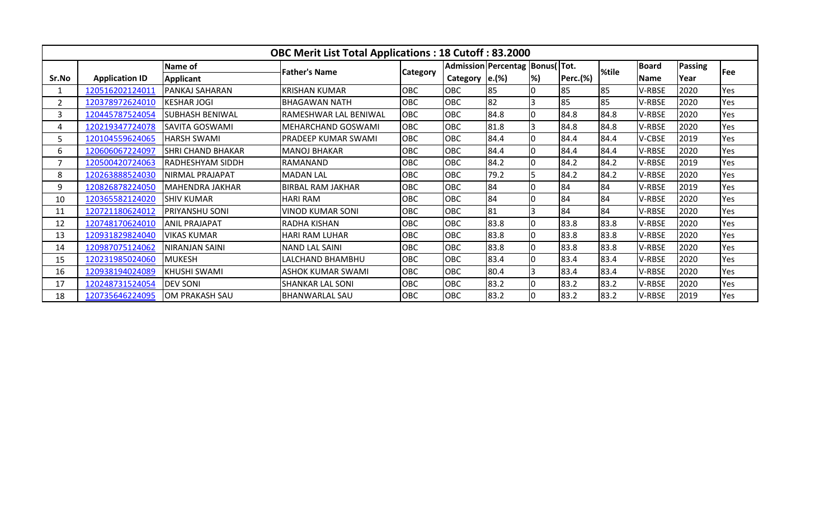|                | <b>OBC Merit List Total Applications: 18 Cutoff: 83.2000</b> |                          |                            |                 |            |                                    |    |          |       |              |         |            |  |
|----------------|--------------------------------------------------------------|--------------------------|----------------------------|-----------------|------------|------------------------------------|----|----------|-------|--------------|---------|------------|--|
|                |                                                              | Name of                  | <b>Father's Name</b>       |                 |            | Admission Percentag   Bonus(  Tot. |    |          | %tile | <b>Board</b> | Passing | <b>Fee</b> |  |
| Sr.No          | <b>Application ID</b>                                        | Applicant                |                            | <b>Category</b> | Category   | e.(%)                              | %) | Perc.(%) |       | <b>Name</b>  | Year    |            |  |
|                | 120516202124011                                              | PANKAJ SAHARAN           | <b>KRISHAN KUMAR</b>       | OBC             | <b>OBC</b> | 85                                 | I۵ | 85       | 85    | V-RBSE       | 2020    | Yes        |  |
| $\overline{2}$ | 120378972624010                                              | <b>KESHAR JOGI</b>       | <b>BHAGAWAN NATH</b>       | OBC             | <b>OBC</b> | 82                                 |    | 85       | 85    | V-RBSE       | 2020    | Yes        |  |
| 3              | 120445787524054                                              | <b>SUBHASH BENIWAL</b>   | RAMESHWAR LAL BENIWAL      | OBC             | OBC        | 84.8                               | I٥ | 84.8     | 84.8  | V-RBSE       | 2020    | Yes        |  |
|                | 120219347724078                                              | <b>SAVITA GOSWAMI</b>    | MEHARCHAND GOSWAMI         | OBC             | <b>OBC</b> | 81.8                               |    | 84.8     | 84.8  | V-RBSE       | 2020    | Yes        |  |
| 5              | 120104559624065                                              | <b>HARSH SWAMI</b>       | <b>PRADEEP KUMAR SWAMI</b> | OBC             | OBC        | 84.4                               | I٥ | 84.4     | 84.4  | V-CBSE       | 2019    | Yes        |  |
| 6.             | 120606067224097                                              | <b>SHRI CHAND BHAKAR</b> | <b>MANOJ BHAKAR</b>        | OBC             | OBC        | 84.4                               |    | 84.4     | 84.4  | V-RBSE       | 2020    | Yes        |  |
|                | 120500420724063                                              | <b>RADHESHYAM SIDDH</b>  | RAMANAND                   | OBC             | OBC        | 84.2                               | 10 | 84.2     | 84.2  | V-RBSE       | 2019    | Yes        |  |
| 8              | 120263888524030                                              | <b>NIRMAL PRAJAPAT</b>   | <b>MADAN LAL</b>           | OBC             | OBC        | 79.2                               |    | 84.2     | 84.2  | V-RBSE       | 2020    | Yes        |  |
| 9              | 120826878224050                                              | <b>MAHENDRA JAKHAR</b>   | <b>BIRBAL RAM JAKHAR</b>   | OBC             | OBC        | 84                                 |    | 84       | 84    | V-RBSE       | 2019    | Yes        |  |
| 10             | 120365582124020                                              | <b>SHIV KUMAR</b>        | <b>HARI RAM</b>            | OBC             | OBC        | 84                                 |    | 84       | 84    | V-RBSE       | 2020    | Yes        |  |
| 11             | 120721180624012                                              | PRIYANSHU SONI           | <b>VINOD KUMAR SONI</b>    | OBC             | OBC        | 81                                 |    | 84       | 84    | V-RBSE       | 2020    | Yes        |  |
| 12             | 120748170624010                                              | <b>ANIL PRAJAPAT</b>     | <b>RADHA KISHAN</b>        | OBC             | <b>OBC</b> | 83.8                               | ١o | 83.8     | 83.8  | V-RBSE       | 2020    | Yes        |  |
| 13             | 120931829824040                                              | <b>VIKAS KUMAR</b>       | HARI RAM LUHAR             | OBC             | OBC        | 83.8                               | I۵ | 83.8     | 83.8  | V-RBSE       | 2020    | Yes        |  |
| 14             | 120987075124062                                              | <b>NIRANJAN SAINI</b>    | <b>NAND LAL SAINI</b>      | OBC             | <b>OBC</b> | 83.8                               |    | 83.8     | 83.8  | V-RBSE       | 2020    | Yes        |  |
| 15             | 120231985024060                                              | <b>MUKESH</b>            | LALCHAND BHAMBHU           | OBC             | OBC        | 83.4                               | 10 | 83.4     | 83.4  | V-RBSE       | 2020    | Yes        |  |
| 16             | 120938194024089                                              | KHUSHI SWAMI             | <b>ASHOK KUMAR SWAMI</b>   | OBC             | <b>OBC</b> | 80.4                               |    | 83.4     | 83.4  | V-RBSE       | 2020    | Yes        |  |
| 17             | 120248731524054                                              | <b>DEV SONI</b>          | <b>SHANKAR LAL SONI</b>    | OBC             | <b>OBC</b> | 83.2                               | I٥ | 83.2     | 83.2  | V-RBSE       | 2020    | Yes        |  |
| 18             | 120735646224095                                              | OM PRAKASH SAU           | <b>BHANWARLAL SAU</b>      | OBC             | OBC        | 83.2                               |    | 83.2     | 83.2  | V-RBSE       | 2019    | Yes        |  |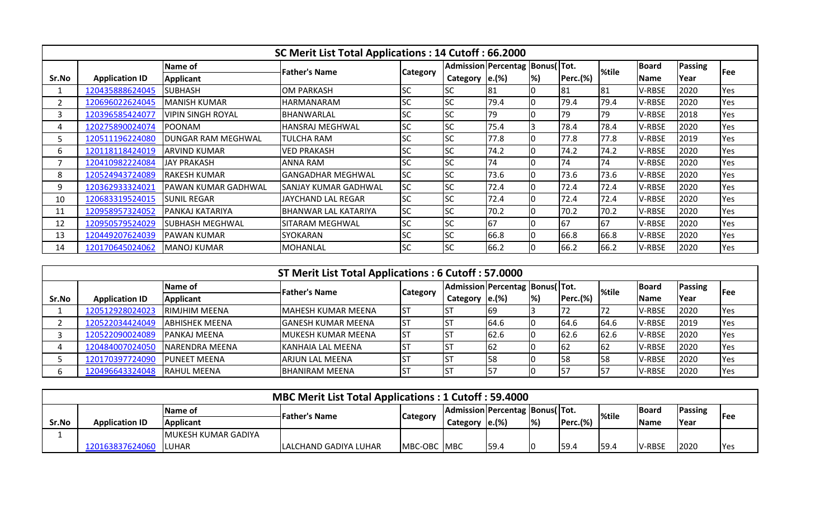|       | SC Merit List Total Applications: 14 Cutoff: 66.2000 |                          |                             |           |                   |                                       |           |                 |       |              |                |            |  |
|-------|------------------------------------------------------|--------------------------|-----------------------------|-----------|-------------------|---------------------------------------|-----------|-----------------|-------|--------------|----------------|------------|--|
|       |                                                      | Name of                  | <b>Father's Name</b>        |           |                   | Admission   Percentag   Bonus (  Tot. |           |                 | %tile | <b>Board</b> | <b>Passing</b> |            |  |
| Sr.No | <b>Application ID</b>                                | <b>Applicant</b>         |                             | Category  | Category $ e.(%)$ |                                       | <b>%)</b> | <b>Perc.(%)</b> |       | <b>Name</b>  | Year           | <b>Fee</b> |  |
|       | 120435888624045                                      | <b>SUBHASH</b>           | <b>OM PARKASH</b>           | <b>SC</b> | <b>SC</b>         | 81                                    | 10        | 181             | 81    | V-RBSE       | 2020           | Yes        |  |
|       | 120696022624045                                      | <b>MANISH KUMAR</b>      | <b>HARMANARAM</b>           | SC        | <b>SC</b>         | 79.4                                  |           | 79.4            | 79.4  | V-RBSE       | 2020           | Yes        |  |
| 3     | 120396585424077                                      | <b>VIPIN SINGH ROYAL</b> | BHANWARLAL                  | SC        | <b>SC</b>         | 79                                    |           | 79              | 79    | V-RBSE       | 2018           | Yes        |  |
| 4     | 120275890024074                                      | <b>POONAM</b>            | <b>HANSRAJ MEGHWAL</b>      | <b>SC</b> | <b>SC</b>         | 75.4                                  |           | 78.4            | 78.4  | V-RBSE       | 2020           | Yes        |  |
| כ     | 120511196224080                                      | DUNGAR RAM MEGHWAL       | <b>TULCHA RAM</b>           | <b>SC</b> | <b>SC</b>         | 77.8                                  | IΟ        | 77.8            | 77.8  | V-RBSE       | 2019           | Yes        |  |
| 6     | 120118118424019                                      | IARVIND KUMAR            | <b>VED PRAKASH</b>          | <b>SC</b> | <b>SC</b>         | 74.2                                  | 10        | 74.2            | 74.2  | V-RBSE       | 2020           | Yes        |  |
|       | 120410982224084                                      | <b>JAY PRAKASH</b>       | ANNA RAM                    | <b>SC</b> | <b>SC</b>         | 74                                    | Ю         | 74              | 74    | V-RBSE       | 2020           | Yes        |  |
| 8     | 120524943724089                                      | <b>RAKESH KUMAR</b>      | <b>GANGADHAR MEGHWAL</b>    | <b>SC</b> | <b>SC</b>         | 73.6                                  | 10        | 73.6            | 73.6  | V-RBSE       | 2020           | Yes        |  |
| 9     | 120362933324021                                      | PAWAN KUMAR GADHWAL      | ISANJAY KUMAR GADHWAL       | <b>SC</b> | <b>SC</b>         | 72.4                                  |           | 72.4            | 72.4  | V-RBSE       | 2020           | Yes        |  |
| 10    | 120683319524015                                      | <b>SUNIL REGAR</b>       | JAYCHAND LAL REGAR          | <b>SC</b> | <b>SC</b>         | 72.4                                  |           | 72.4            | 72.4  | V-RBSE       | 2020           | Yes        |  |
| 11    | 120958957324052                                      | PANKAJ KATARIYA          | <b>BHANWAR LAL KATARIYA</b> | <b>SC</b> | <b>SC</b>         | 70.2                                  | 10        | 70.2            | 70.2  | V-RBSE       | 2020           | Yes        |  |
| 12    | 120950579524029                                      | <b>SUBHASH MEGHWAL</b>   | SITARAM MEGHWAL             | <b>SC</b> | <b>SC</b>         | 67                                    | 10        | 67              | 167   | V-RBSE       | 2020           | Yes        |  |
| 13    | 120449207624039                                      | <b>PAWAN KUMAR</b>       | <b>SYOKARAN</b>             | <b>SC</b> | <b>SC</b>         | 66.8                                  | 10        | 66.8            | 66.8  | V-RBSE       | 2020           | Yes        |  |
| 14    | 120170645024062                                      | <b>MANOJ KUMAR</b>       | <b>MOHANLAL</b>             | <b>SC</b> | <b>SC</b>         | 66.2                                  |           | 66.2            | 66.2  | V-RBSE       | 2020           | Yes        |  |

|       | ST Merit List Total Applications: 6 Cutoff: 57.0000 |                        |                           |                 |                                   |       |                          |             |        |                |             |      |
|-------|-----------------------------------------------------|------------------------|---------------------------|-----------------|-----------------------------------|-------|--------------------------|-------------|--------|----------------|-------------|------|
|       |                                                     | Name of                |                           | <b>Category</b> | Admission Percentag   Bonus (Tot. |       |                          |             | l%tile | <b>I</b> Board | Passing     | lFee |
| Sr.No | <b>Application ID</b>                               | Applicant              | <b>Father's Name</b>      |                 | <b>Category</b>                   | e.(%) | $\left  \%\right\rangle$ | $Perc.$ (%) |        | Name           | <b>Year</b> |      |
|       | 120512928024023                                     | <b>IRIMJHIM MEENA</b>  | <b>MAHESH KUMAR MEENA</b> |                 |                                   | 69    |                          |             |        | V-RBSE         | 2020        | Yes  |
|       | 120522034424049                                     | <b>JABHISHEK MEENA</b> | IGANESH KUMAR MEENA       | IST             |                                   | 64.6  |                          | 64.6        | 64.6   | <b>V-RBSE</b>  | 2019        | Yes  |
|       | 120522090024089                                     | <b>IPANKAJ MEENA</b>   | <b>MUKESH KUMAR MEENA</b> |                 |                                   | 62.6  |                          | 62.6        | 62.6   | <b>V-RBSE</b>  | 2020        | Yes  |
|       | 120484007024050                                     | INARENDRA MEENA        | KANHAIA LAL MEENA         |                 |                                   | 62    |                          | 162         | 62     | V-RBSE         | 2020        | Yes  |
|       | 120170397724090                                     | <b>IPUNEET MEENA</b>   | <b>ARJUN LAL MEENA</b>    |                 |                                   |       |                          | 158         |        | V-RBSE         | 2020        | Yes  |
|       | 120496643324048                                     | <b>RAHUL MEENA</b>     | <b>BHANIRAM MEENA</b>     |                 |                                   |       |                          | 157         | 157    | V-RBSE         | 2020        | Yes  |

|       | <b>MBC Merit List Total Applications: 1 Cutoff: 59.4000</b>                                                                                       |                      |                               |                     |          |       |                           |          |      |              |      |            |
|-------|---------------------------------------------------------------------------------------------------------------------------------------------------|----------------------|-------------------------------|---------------------|----------|-------|---------------------------|----------|------|--------------|------|------------|
|       | <b>Passing</b><br> Admission Percentag Bonus(Tot.<br><b>IBoard</b><br><b>Name of</b><br>%tile<br>lFather's Name<br><b>IFee</b><br><b>Category</b> |                      |                               |                     |          |       |                           |          |      |              |      |            |
| Sr.No | <b>Application ID</b>                                                                                                                             | <b>Applicant</b>     |                               |                     | Category | e.(%) | $\left  \% \right\rangle$ | Perc.(%) |      | <b>IName</b> | Year |            |
|       |                                                                                                                                                   | IMUKESH KUMAR GADIYA |                               |                     |          |       |                           |          |      |              |      |            |
|       | 120163837624060                                                                                                                                   | ILUHAR               | <b>ILALCHAND GADIYA LUHAR</b> | <b>IMBC-OBC MBC</b> |          | 59.4  |                           | 59.4     | 59.4 | V-RBSE       | 2020 | <b>Yes</b> |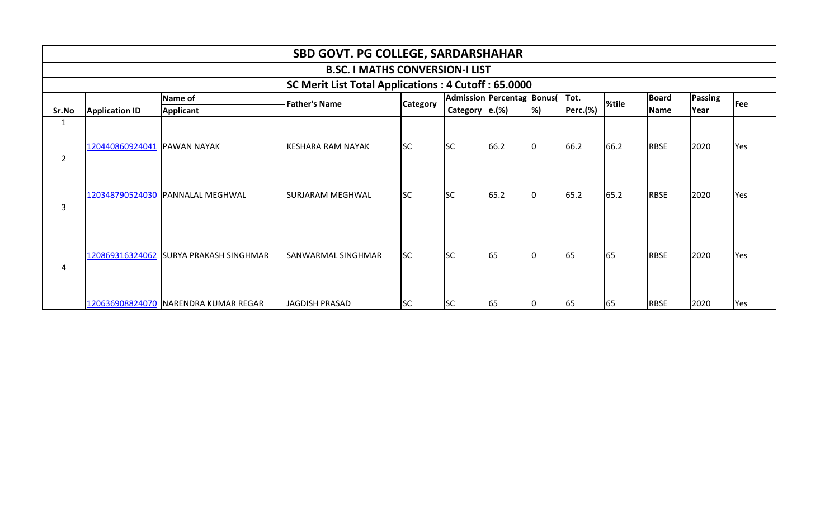|                | <b>SBD GOVT. PG COLLEGE, SARDARSHAHAR</b>                                                                                                  |                                        |                                        |           |           |      |    |      |      |             |      |     |  |  |
|----------------|--------------------------------------------------------------------------------------------------------------------------------------------|----------------------------------------|----------------------------------------|-----------|-----------|------|----|------|------|-------------|------|-----|--|--|
|                |                                                                                                                                            |                                        | <b>B.SC. I MATHS CONVERSION-I LIST</b> |           |           |      |    |      |      |             |      |     |  |  |
|                | SC Merit List Total Applications: 4 Cutoff: 65.0000                                                                                        |                                        |                                        |           |           |      |    |      |      |             |      |     |  |  |
|                | Tot.<br>Admission Percentag Bonus(<br><b>Board</b><br>Passing<br><b>Name of</b><br>%tile<br><b>Father's Name</b><br>Fee<br><b>Category</b> |                                        |                                        |           |           |      |    |      |      |             |      |     |  |  |
| Sr.No          | Perc.(%)<br>Category $ e.(%)$<br>%)<br><b>Applicant</b><br><b>Name</b><br>Year<br><b>Application ID</b>                                    |                                        |                                        |           |           |      |    |      |      |             |      |     |  |  |
| 1              |                                                                                                                                            |                                        |                                        |           |           |      |    |      |      |             |      |     |  |  |
|                |                                                                                                                                            |                                        |                                        |           |           |      |    |      |      |             |      |     |  |  |
|                | 120440860924041 PAWAN NAYAK                                                                                                                |                                        | <b>KESHARA RAM NAYAK</b>               | <b>SC</b> | <b>SC</b> | 66.2 | 10 | 66.2 | 66.2 | <b>RBSE</b> | 2020 | Yes |  |  |
| $\overline{2}$ |                                                                                                                                            |                                        |                                        |           |           |      |    |      |      |             |      |     |  |  |
|                |                                                                                                                                            |                                        |                                        |           |           |      |    |      |      |             |      |     |  |  |
|                |                                                                                                                                            |                                        |                                        |           |           |      |    |      |      |             |      |     |  |  |
|                |                                                                                                                                            | 120348790524030 PANNALAL MEGHWAL       | <b>SURJARAM MEGHWAL</b>                | <b>SC</b> | <b>SC</b> | 65.2 | 10 | 65.2 | 65.2 | <b>RBSE</b> | 2020 | Yes |  |  |
| 3              |                                                                                                                                            |                                        |                                        |           |           |      |    |      |      |             |      |     |  |  |
|                |                                                                                                                                            |                                        |                                        |           |           |      |    |      |      |             |      |     |  |  |
|                |                                                                                                                                            |                                        |                                        |           |           |      |    |      |      |             |      |     |  |  |
|                |                                                                                                                                            |                                        |                                        |           |           |      |    |      |      |             |      |     |  |  |
|                |                                                                                                                                            | 120869316324062 SURYA PRAKASH SINGHMAR | SANWARMAL SINGHMAR                     | <b>SC</b> | <b>SC</b> | 65   | 10 | 65   | 65   | <b>RBSE</b> | 2020 | Yes |  |  |
| 4              |                                                                                                                                            |                                        |                                        |           |           |      |    |      |      |             |      |     |  |  |
|                |                                                                                                                                            |                                        |                                        |           |           |      |    |      |      |             |      |     |  |  |
|                |                                                                                                                                            |                                        |                                        |           |           |      |    |      |      |             |      |     |  |  |
|                |                                                                                                                                            | 120636908824070   NARENDRA KUMAR REGAR | JAGDISH PRASAD                         | <b>SC</b> | <b>SC</b> | 65   | 10 | 65   | 65   | <b>RBSE</b> | 2020 | Yes |  |  |